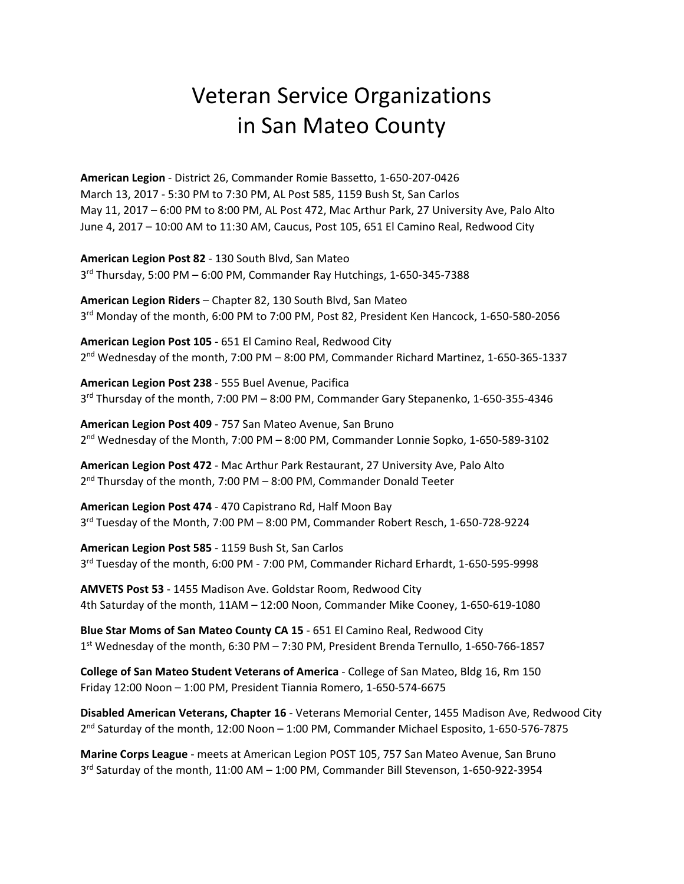## Veteran Service Organizations in San Mateo County

**American Legion** ‐ District 26, Commander Romie Bassetto, 1‐650‐207‐0426 March 13, 2017 ‐ 5:30 PM to 7:30 PM, AL Post 585, 1159 Bush St, San Carlos May 11, 2017 – 6:00 PM to 8:00 PM, AL Post 472, Mac Arthur Park, 27 University Ave, Palo Alto June 4, 2017 – 10:00 AM to 11:30 AM, Caucus, Post 105, 651 El Camino Real, Redwood City

**American Legion Post 82** ‐ 130 South Blvd, San Mateo 3rd Thursday, 5:00 PM – 6:00 PM, Commander Ray Hutchings, 1‐650‐345‐7388

**American Legion Riders** – Chapter 82, 130 South Blvd, San Mateo 3<sup>rd</sup> Monday of the month, 6:00 PM to 7:00 PM, Post 82, President Ken Hancock, 1-650-580-2056

**American Legion Post 105 ‐** 651 El Camino Real, Redwood City  $2^{nd}$  Wednesday of the month, 7:00 PM – 8:00 PM, Commander Richard Martinez, 1-650-365-1337

**American Legion Post 238** ‐ 555 Buel Avenue, Pacifica 3rd Thursday of the month, 7:00 PM – 8:00 PM, Commander Gary Stepanenko, 1‐650‐355‐4346

**American Legion Post 409** ‐ 757 San Mateo Avenue, San Bruno  $2<sup>nd</sup>$  Wednesday of the Month, 7:00 PM – 8:00 PM, Commander Lonnie Sopko, 1-650-589-3102

**American Legion Post 472** ‐ Mac Arthur Park Restaurant, 27 University Ave, Palo Alto  $2^{nd}$  Thursday of the month, 7:00 PM – 8:00 PM, Commander Donald Teeter

**American Legion Post 474** ‐ 470 Capistrano Rd, Half Moon Bay 3rd Tuesday of the Month, 7:00 PM – 8:00 PM, Commander Robert Resch, 1‐650‐728‐9224

**American Legion Post 585** ‐ 1159 Bush St, San Carlos 3<sup>rd</sup> Tuesday of the month, 6:00 PM - 7:00 PM, Commander Richard Erhardt, 1-650-595-9998

**AMVETS Post 53** ‐ 1455 Madison Ave. Goldstar Room, Redwood City 4th Saturday of the month, 11AM – 12:00 Noon, Commander Mike Cooney, 1‐650‐619‐1080

**Blue Star Moms of San Mateo County CA 15** ‐ 651 El Camino Real, Redwood City 1st Wednesday of the month, 6:30 PM – 7:30 PM, President Brenda Ternullo, 1‐650‐766‐1857

**College of San Mateo Student Veterans of America** ‐ College of San Mateo, Bldg 16, Rm 150 Friday 12:00 Noon – 1:00 PM, President Tiannia Romero, 1‐650‐574‐6675

**Disabled American Veterans, Chapter 16** ‐ Veterans Memorial Center, 1455 Madison Ave, Redwood City 2nd Saturday of the month, 12:00 Noon – 1:00 PM, Commander Michael Esposito, 1‐650‐576‐7875

**Marine Corps League** ‐ meets at American Legion POST 105, 757 San Mateo Avenue, San Bruno  $3<sup>rd</sup>$  Saturday of the month, 11:00 AM – 1:00 PM, Commander Bill Stevenson, 1-650-922-3954